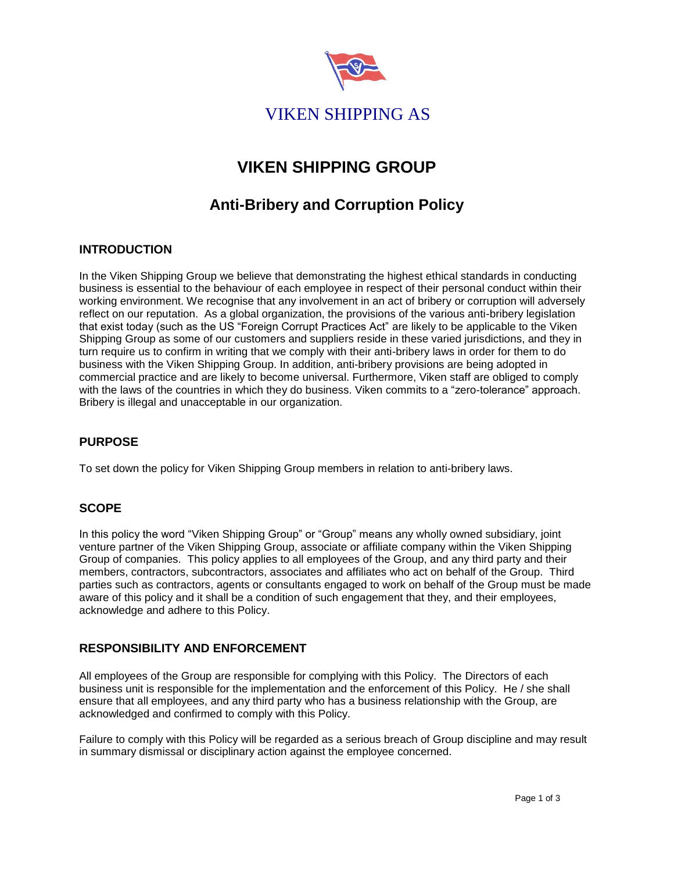

# **VIKEN SHIPPING GROUP**

# **Anti-Bribery and Corruption Policy**

### **INTRODUCTION**

In the Viken Shipping Group we believe that demonstrating the highest ethical standards in conducting business is essential to the behaviour of each employee in respect of their personal conduct within their working environment. We recognise that any involvement in an act of bribery or corruption will adversely reflect on our reputation. As a global organization, the provisions of the various anti-bribery legislation that exist today (such as the US "Foreign Corrupt Practices Act" are likely to be applicable to the Viken Shipping Group as some of our customers and suppliers reside in these varied jurisdictions, and they in turn require us to confirm in writing that we comply with their anti-bribery laws in order for them to do business with the Viken Shipping Group. In addition, anti-bribery provisions are being adopted in commercial practice and are likely to become universal. Furthermore, Viken staff are obliged to comply with the laws of the countries in which they do business. Viken commits to a "zero-tolerance" approach. Bribery is illegal and unacceptable in our organization.

# **PURPOSE**

To set down the policy for Viken Shipping Group members in relation to anti-bribery laws.

#### **SCOPE**

In this policy the word "Viken Shipping Group" or "Group" means any wholly owned subsidiary, joint venture partner of the Viken Shipping Group, associate or affiliate company within the Viken Shipping Group of companies. This policy applies to all employees of the Group, and any third party and their members, contractors, subcontractors, associates and affiliates who act on behalf of the Group. Third parties such as contractors, agents or consultants engaged to work on behalf of the Group must be made aware of this policy and it shall be a condition of such engagement that they, and their employees, acknowledge and adhere to this Policy.

#### **RESPONSIBILITY AND ENFORCEMENT**

All employees of the Group are responsible for complying with this Policy. The Directors of each business unit is responsible for the implementation and the enforcement of this Policy. He / she shall ensure that all employees, and any third party who has a business relationship with the Group, are acknowledged and confirmed to comply with this Policy.

Failure to comply with this Policy will be regarded as a serious breach of Group discipline and may result in summary dismissal or disciplinary action against the employee concerned.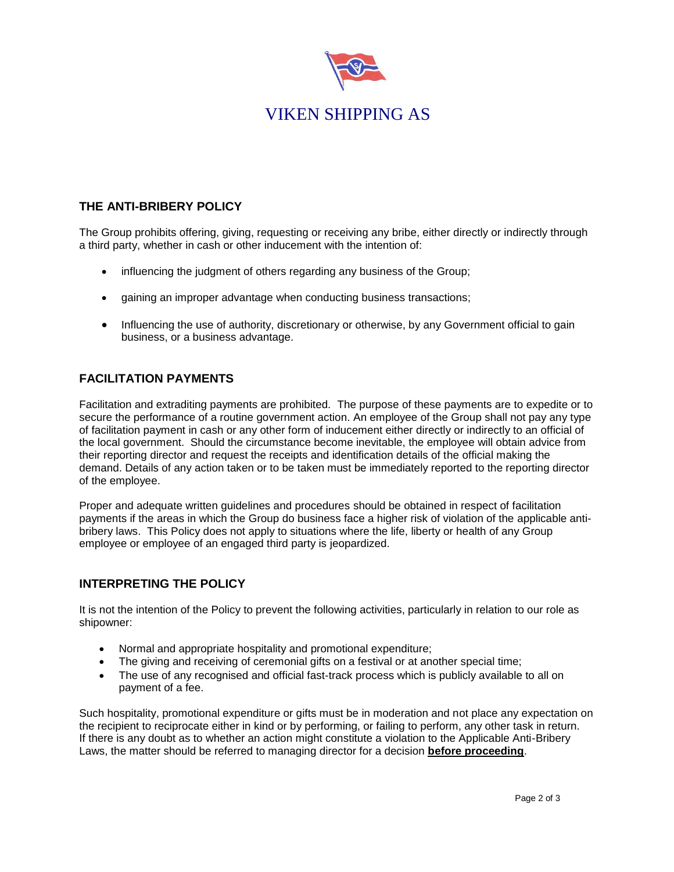

# **THE ANTI-BRIBERY POLICY**

The Group prohibits offering, giving, requesting or receiving any bribe, either directly or indirectly through a third party, whether in cash or other inducement with the intention of:

- influencing the judgment of others regarding any business of the Group;
- gaining an improper advantage when conducting business transactions;
- Influencing the use of authority, discretionary or otherwise, by any Government official to gain business, or a business advantage.

#### **FACILITATION PAYMENTS**

Facilitation and extraditing payments are prohibited. The purpose of these payments are to expedite or to secure the performance of a routine government action. An employee of the Group shall not pay any type of facilitation payment in cash or any other form of inducement either directly or indirectly to an official of the local government. Should the circumstance become inevitable, the employee will obtain advice from their reporting director and request the receipts and identification details of the official making the demand. Details of any action taken or to be taken must be immediately reported to the reporting director of the employee.

Proper and adequate written guidelines and procedures should be obtained in respect of facilitation payments if the areas in which the Group do business face a higher risk of violation of the applicable antibribery laws. This Policy does not apply to situations where the life, liberty or health of any Group employee or employee of an engaged third party is jeopardized.

#### **INTERPRETING THE POLICY**

It is not the intention of the Policy to prevent the following activities, particularly in relation to our role as shipowner:

- Normal and appropriate hospitality and promotional expenditure;
- The giving and receiving of ceremonial gifts on a festival or at another special time;
- The use of any recognised and official fast-track process which is publicly available to all on payment of a fee.

Such hospitality, promotional expenditure or gifts must be in moderation and not place any expectation on the recipient to reciprocate either in kind or by performing, or failing to perform, any other task in return. If there is any doubt as to whether an action might constitute a violation to the Applicable Anti-Bribery Laws, the matter should be referred to managing director for a decision **before proceeding**.